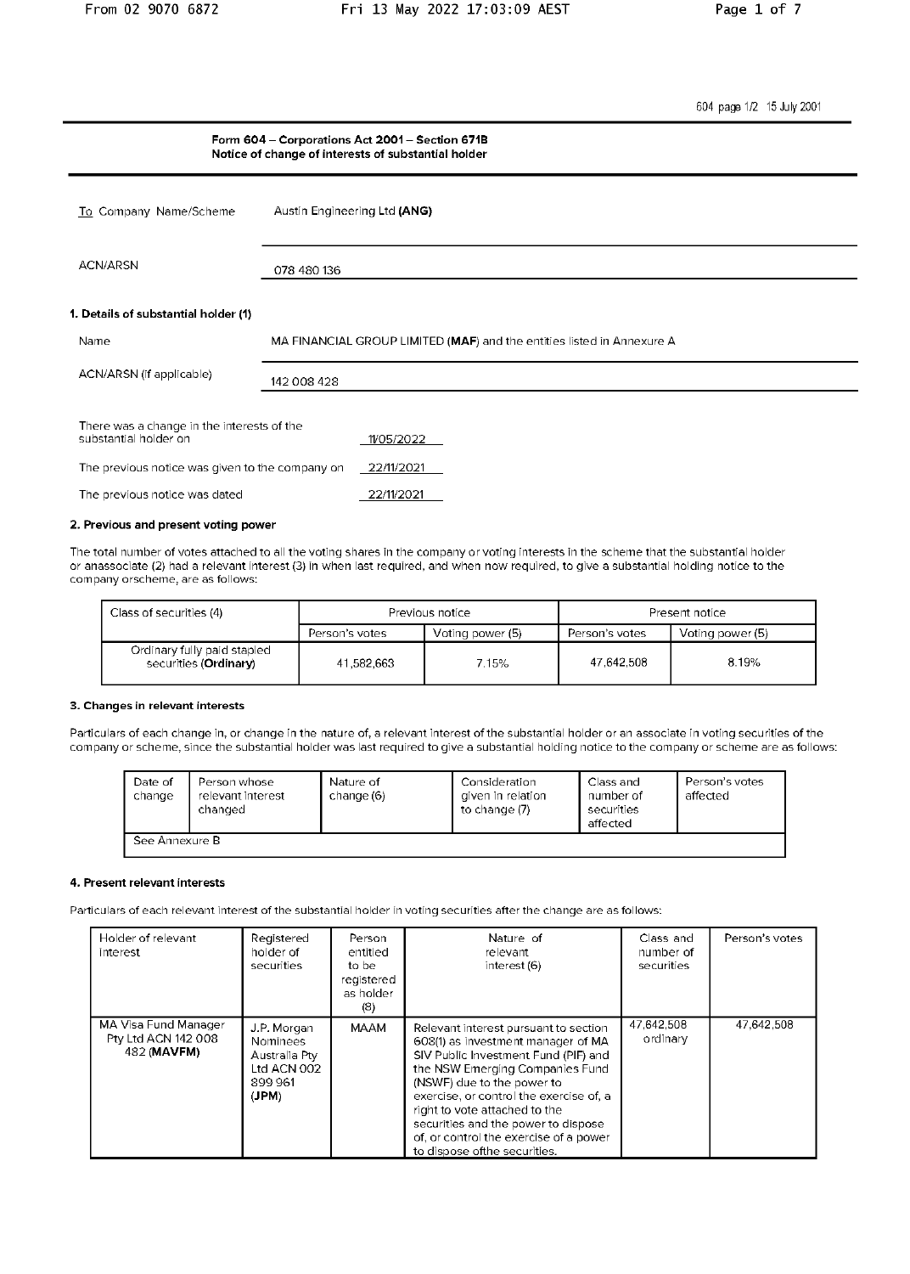604 page 1/2 15 July 2001

|                                                                     | Form 604 - Corporations Act 2001 - Section 671B<br>Notice of change of interests of substantial holder |            |                                                                        |  |
|---------------------------------------------------------------------|--------------------------------------------------------------------------------------------------------|------------|------------------------------------------------------------------------|--|
| To Company Name/Scheme                                              | Austin Engineering Ltd (ANG)                                                                           |            |                                                                        |  |
| <b>ACN/ARSN</b>                                                     | 078 480 136                                                                                            |            |                                                                        |  |
| 1. Details of substantial holder (1)                                |                                                                                                        |            |                                                                        |  |
| Name                                                                |                                                                                                        |            | MA FINANCIAL GROUP LIMITED (MAF) and the entities listed in Annexure A |  |
| ACN/ARSN (if applicable)                                            | 142 008 428                                                                                            |            |                                                                        |  |
| There was a change in the interests of the<br>substantial holder on |                                                                                                        | 1/05/2022  |                                                                        |  |
| The previous notice was given to the company on                     |                                                                                                        | 22/11/2021 |                                                                        |  |
| The previous notice was dated                                       |                                                                                                        | 22/11/2021 |                                                                        |  |
| 2. Previous and present voting power                                |                                                                                                        |            |                                                                        |  |

The total number of votes attached to all the voting shares in the company or voting interests in the scheme that the substantial holder or anassociate (2) had a relevant interest (3) in when last required, and when now required, to give a substantial holding notice to the company orscheme, are as follows:

| Class of securities (4)                              | Previous notice                    |       | Present notice |                  |
|------------------------------------------------------|------------------------------------|-------|----------------|------------------|
|                                                      | Voting power (5)<br>Person's votes |       | Person's votes | Voting power (5) |
| Ordinary fully paid stapled<br>securities (Ordinary) | 41,582,663                         | 7.15% | 47.642.508     | 8.19%            |

#### 3. Changes in relevant interests

Particulars of each change in, or change in the nature of, a relevant interest of the substantial holder or an associate in voting securities of the<br>company or scheme, since the substantial holder was last required to give

| Date of<br>change | Person whose<br>relevant interest<br>changed | Nature of<br>change (6) | Consideration<br>given in relation<br>to change (7) | Class and<br>number of<br>securities<br>affected | Person's votes<br>affected |
|-------------------|----------------------------------------------|-------------------------|-----------------------------------------------------|--------------------------------------------------|----------------------------|
| See Annexure B    |                                              |                         |                                                     |                                                  |                            |

#### 4. Present relevant interests

Particulars of each relevant interest of the substantial holder in voting securities after the change are as follows:

| Holder of relevant<br>interest                             | Registered<br>holder of<br>securities                                             | Person<br>entitled<br>to be<br>registered<br>as holder<br>(8) | Nature of<br>relevant<br>interest (6)                                                                                                                                                                                                                                                                                                                                              | Class and<br>number of<br>securities | Person's votes |
|------------------------------------------------------------|-----------------------------------------------------------------------------------|---------------------------------------------------------------|------------------------------------------------------------------------------------------------------------------------------------------------------------------------------------------------------------------------------------------------------------------------------------------------------------------------------------------------------------------------------------|--------------------------------------|----------------|
| MA Visa Fund Manager<br>Pty Ltd ACN 142 008<br>482 (MAVFM) | J.P. Morgan<br><b>Nominees</b><br>Australia Pty<br>Ltd ACN 002<br>899961<br>(JPM) | <b>MAAM</b>                                                   | Relevant interest pursuant to section<br>608(1) as investment manager of MA<br>SIV Public Investment Fund (PIF) and<br>the NSW Emerging Companies Fund<br>(NSWF) due to the power to<br>exercise, or control the exercise of, a<br>right to vote attached to the<br>securities and the power to dispose<br>of, or control the exercise of a power<br>to dispose of the securities. | 47,642,508<br>ordinary               | 47,642,508     |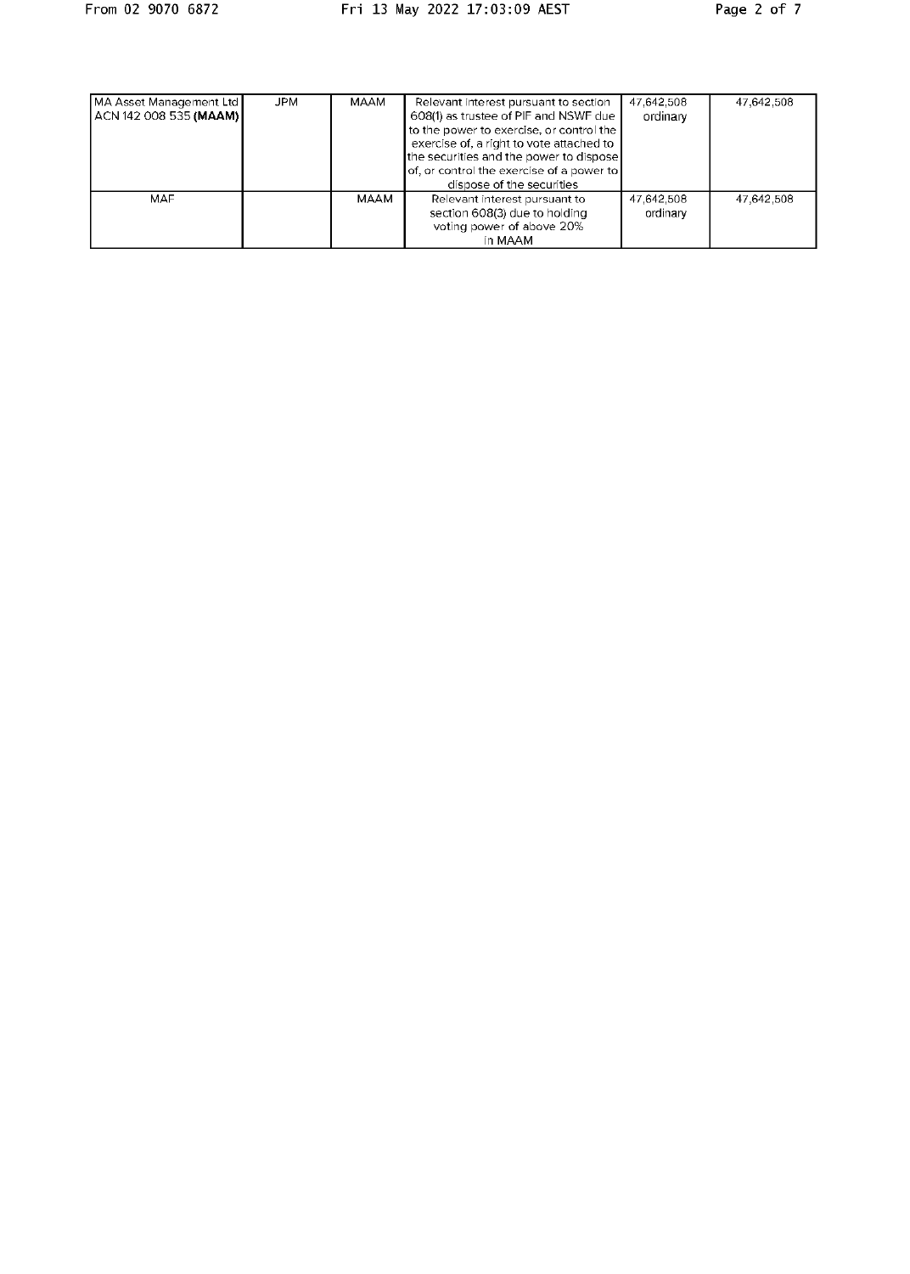| MA Asset Management Ltd<br>ACN 142 008 535 (MAAM) | <b>JPM</b> | MAAM | Relevant interest pursuant to section<br>608(1) as trustee of PIF and NSWF due<br>to the power to exercise, or control the<br>exercise of, a right to vote attached to<br>the securities and the power to dispose<br>of, or control the exercise of a power to<br>dispose of the securities | 47,642.508<br>ordinary | 47,642.508 |
|---------------------------------------------------|------------|------|---------------------------------------------------------------------------------------------------------------------------------------------------------------------------------------------------------------------------------------------------------------------------------------------|------------------------|------------|
| MAF                                               |            | MAAM | Relevant interest pursuant to<br>section 608(3) due to holding<br>voting power of above 20%<br>in MAAM                                                                                                                                                                                      | 47,642,508<br>ordinary | 47,642,508 |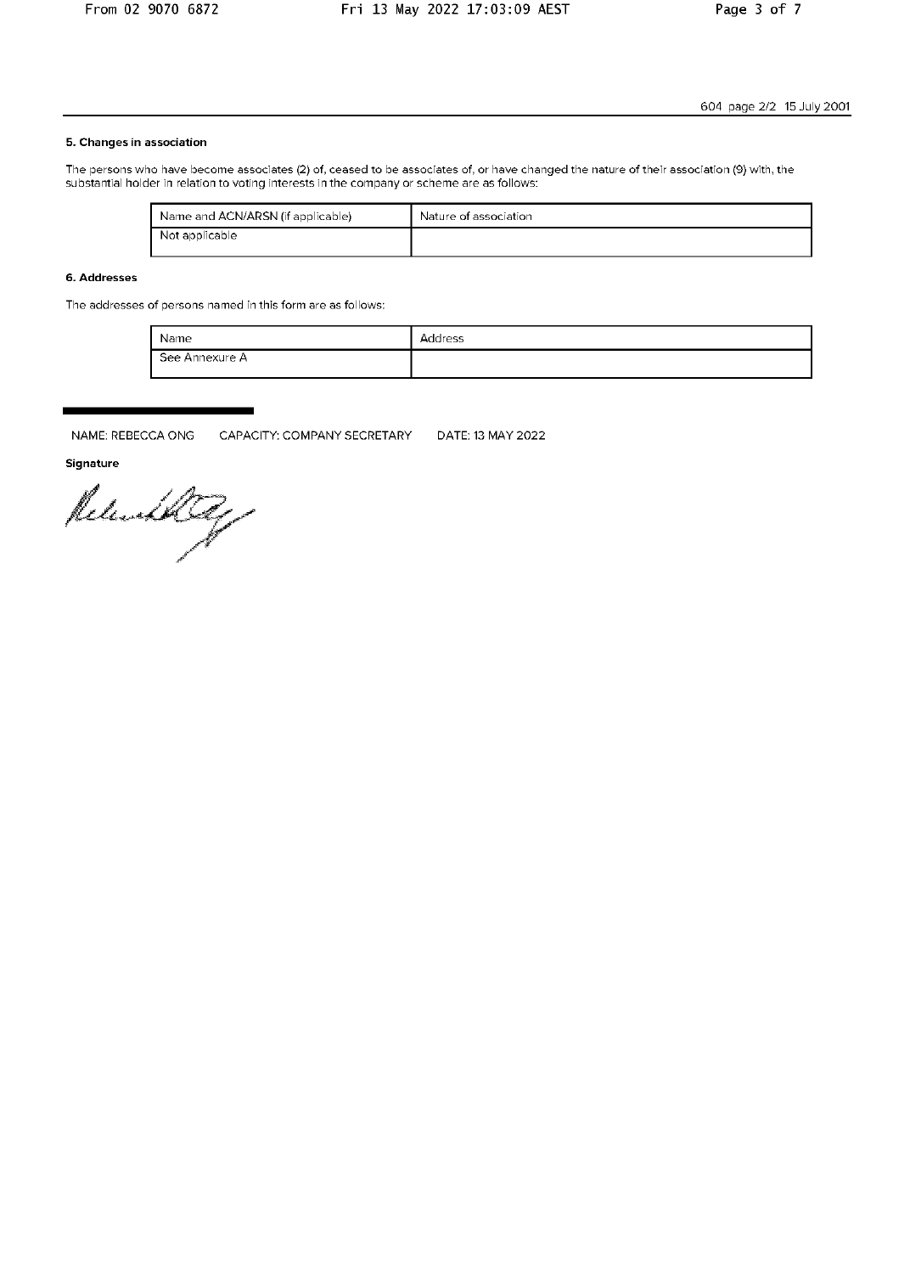### 5. Changes in association

The persons who have become associates (2) of, ceased to be associates of, or have changed the nature of their association (9) with, the substantial holder in relation to voting interests in the company or scheme are as follows:

| Name and ACN/ARSN (if applicable) | Nature of association |
|-----------------------------------|-----------------------|
| Not applicable                    |                       |

## 6. Addresses

The addresses of persons named in this form are as follows:

| Name           | Address |
|----------------|---------|
| See Annexure A |         |

NAME: REBECCA ONG CAPACITY: COMPANY SECRETARY DATE: 13 MAY 2022

Signature

Released Reg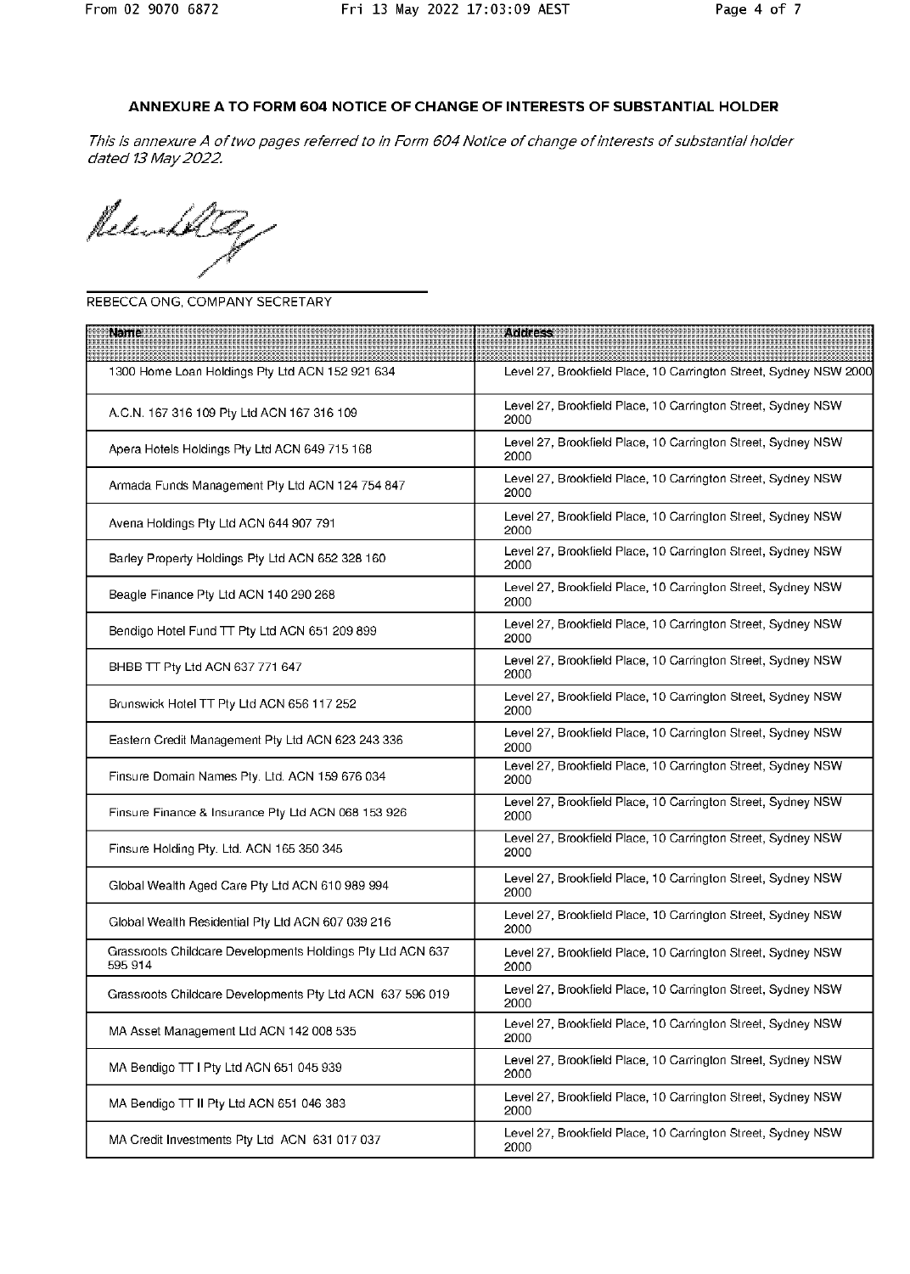# ANNEXURE A TO FORM 604 NOTICE OF CHANGE OF INTERESTS OF SUBSTANTIAL HOLDER

This is annexure A of two pages referred to in Form 604 Notice of change of interests of substantial holder dated 13 May 2022.

Releater

### REBECCA ONG, COMPANY SECRETARY

| <b>Name</b>                                                           | <b>Address</b>                                                       |
|-----------------------------------------------------------------------|----------------------------------------------------------------------|
| 1300 Home Loan Holdings Pty Ltd ACN 152 921 634                       | Level 27, Brookfield Place, 10 Carrington Street, Sydney NSW 2000    |
| A.C.N. 167 316 109 Pty Ltd ACN 167 316 109                            | Level 27, Brookfield Place, 10 Carrington Street, Sydney NSW<br>2000 |
| Apera Hotels Holdings Pty Ltd ACN 649 715 168                         | Level 27, Brookfield Place, 10 Carrington Street, Sydney NSW<br>2000 |
| Armada Funds Management Pty Ltd ACN 124 754 847                       | Level 27, Brookfield Place, 10 Carrington Street, Sydney NSW<br>2000 |
| Avena Holdings Pty Ltd ACN 644 907 791                                | Level 27, Brookfield Place, 10 Carrington Street, Sydney NSW<br>2000 |
| Barley Property Holdings Pty Ltd ACN 652 328 160                      | Level 27, Brookfield Place, 10 Carrington Street, Sydney NSW<br>2000 |
| Beagle Finance Pty Ltd ACN 140 290 268                                | Level 27, Brookfield Place, 10 Carrington Street, Sydney NSW<br>2000 |
| Bendigo Hotel Fund TT Pty Ltd ACN 651 209 899                         | Level 27, Brookfield Place, 10 Carrington Street, Sydney NSW<br>2000 |
| BHBB TT Pty Ltd ACN 637 771 647                                       | Level 27, Brookfield Place, 10 Carrington Street, Sydney NSW<br>2000 |
| Brunswick Hotel TT Pty Ltd ACN 656 117 252                            | Level 27, Brookfield Place, 10 Carrington Street, Sydney NSW<br>2000 |
| Eastern Credit Management Pty Ltd ACN 623 243 336                     | Level 27, Brookfield Place, 10 Carrington Street, Sydney NSW<br>2000 |
| Finsure Domain Names Pty. Ltd. ACN 159 676 034                        | Level 27, Brookfield Place, 10 Carrington Street, Sydney NSW<br>2000 |
| Finsure Finance & Insurance Pty Ltd ACN 068 153 926                   | Level 27, Brookfield Place, 10 Carrington Street, Sydney NSW<br>2000 |
| Finsure Holding Pty. Ltd. ACN 165 350 345                             | Level 27, Brookfield Place, 10 Carrington Street, Sydney NSW<br>2000 |
| Global Wealth Aged Care Pty Ltd ACN 610 989 994                       | Level 27, Brookfield Place, 10 Carrington Street, Sydney NSW<br>2000 |
| Global Wealth Residential Pty Ltd ACN 607 039 216                     | Level 27, Brookfield Place, 10 Carrington Street, Sydney NSW<br>2000 |
| Grassroots Childcare Developments Holdings Pty Ltd ACN 637<br>595 914 | Level 27, Brookfield Place, 10 Carrington Street, Sydney NSW<br>2000 |
| Grassroots Childcare Developments Pty Ltd ACN 637 596 019             | Level 27, Brookfield Place, 10 Carrington Street, Sydney NSW<br>2000 |
| MA Asset Management Ltd ACN 142 008 535                               | Level 27, Brookfield Place, 10 Carrington Street, Sydney NSW<br>2000 |
| MA Bendigo TT I Pty Ltd ACN 651 045 939                               | Level 27, Brookfield Place, 10 Carrington Street, Sydney NSW<br>2000 |
| MA Bendigo TT II Pty Ltd ACN 651 046 383                              | Level 27, Brookfield Place, 10 Carrington Street, Sydney NSW<br>2000 |
| MA Credit Investments Pty Ltd ACN 631 017 037                         | Level 27, Brookfield Place, 10 Carrington Street, Sydney NSW<br>2000 |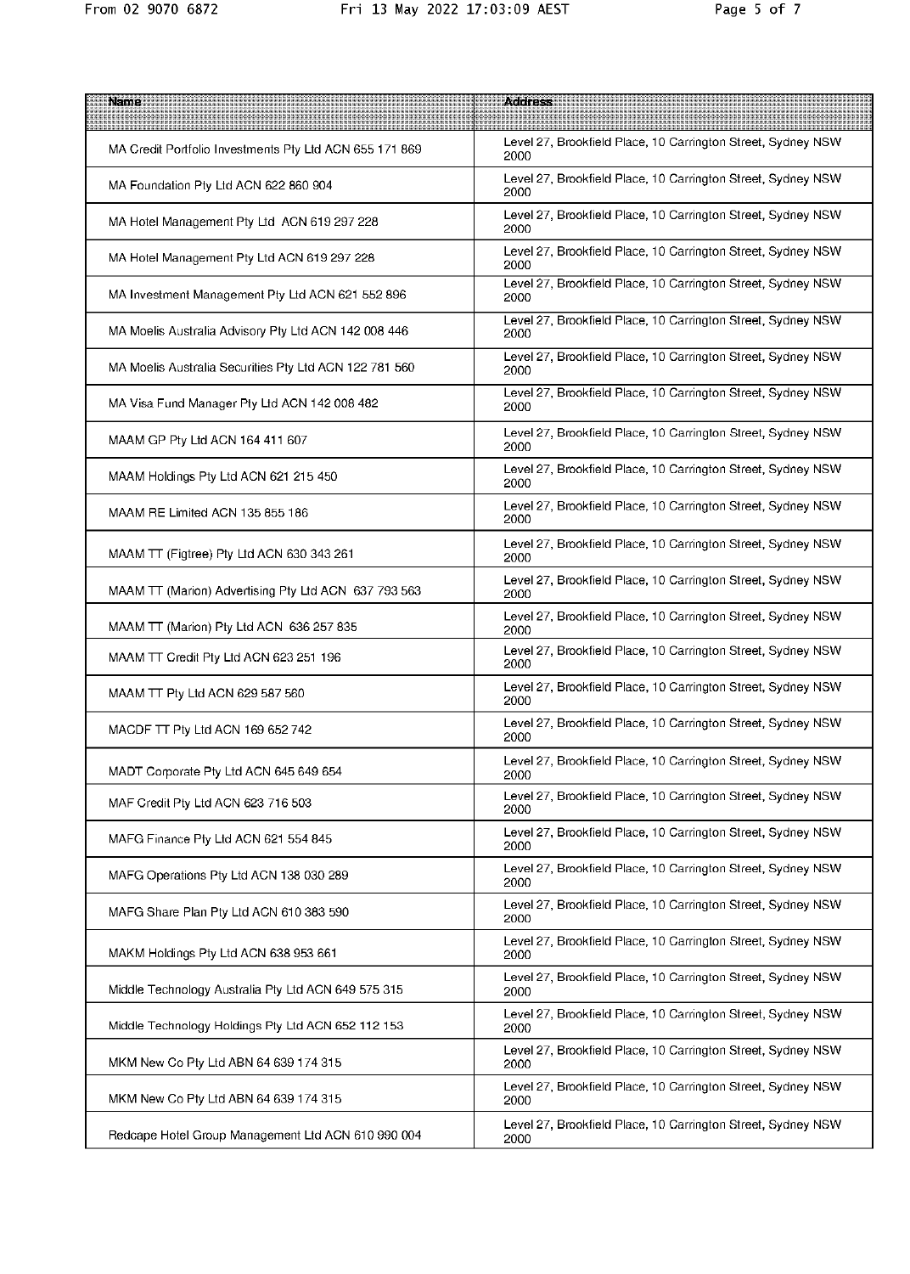| Name                                                    | <b>Address</b>                                                       |
|---------------------------------------------------------|----------------------------------------------------------------------|
| MA Credit Portfolio Investments Pty Ltd ACN 655 171 869 | Level 27, Brookfield Place, 10 Carrington Street, Sydney NSW<br>2000 |
| MA Foundation Pty Ltd ACN 622 860 904                   | Level 27, Brookfield Place, 10 Carrington Street, Sydney NSW<br>2000 |
| MA Hotel Management Pty Ltd ACN 619 297 228             | Level 27, Brookfield Place, 10 Carrington Street, Sydney NSW<br>2000 |
| MA Hotel Management Pty Ltd ACN 619 297 228             | Level 27, Brookfield Place, 10 Carrington Street, Sydney NSW<br>2000 |
| MA Investment Management Pty Ltd ACN 621 552 896        | Level 27, Brookfield Place, 10 Carrington Street, Sydney NSW<br>2000 |
| MA Moelis Australia Advisory Pty Ltd ACN 142 008 446    | Level 27, Brookfield Place, 10 Carrington Street, Sydney NSW<br>2000 |
| MA Moelis Australia Securities Pty Ltd ACN 122 781 560  | Level 27, Brookfield Place, 10 Carrington Street, Sydney NSW<br>2000 |
| MA Visa Fund Manager Pty Ltd ACN 142 008 482            | Level 27, Brookfield Place, 10 Carrington Street, Sydney NSW<br>2000 |
| MAAM GP Pty Ltd ACN 164 411 607                         | Level 27, Brookfield Place, 10 Carrington Street, Sydney NSW<br>2000 |
| MAAM Holdings Pty Ltd ACN 621 215 450                   | Level 27, Brookfield Place, 10 Carrington Street, Sydney NSW<br>2000 |
| MAAM RE Limited ACN 135 855 186                         | Level 27, Brookfield Place, 10 Carrington Street, Sydney NSW<br>2000 |
| MAAM TT (Figtree) Pty Ltd ACN 630 343 261               | Level 27, Brookfield Place, 10 Carrington Street, Sydney NSW<br>2000 |
| MAAM TT (Marion) Advertising Pty Ltd ACN 637 793 563    | Level 27, Brookfield Place, 10 Carrington Street, Sydney NSW<br>2000 |
| MAAM TT (Marion) Pty Ltd ACN 636 257 835                | Level 27, Brookfield Place, 10 Carrington Street, Sydney NSW<br>2000 |
| MAAM TT Credit Pty Ltd ACN 623 251 196                  | Level 27, Brookfield Place, 10 Carrington Street, Sydney NSW<br>2000 |
| MAAM TT Pty Ltd ACN 629 587 560                         | Level 27, Brookfield Place, 10 Carrington Street, Sydney NSW<br>2000 |
| MACDF TT Pty Ltd ACN 169 652 742                        | Level 27, Brookfield Place, 10 Carrington Street, Sydney NSW<br>2000 |
| MADT Corporate Pty Ltd ACN 645 649 654                  | Level 27, Brookfield Place, 10 Carrington Street, Sydney NSW<br>2000 |
| MAF Credit Pty Ltd ACN 623 716 503                      | Level 27, Brookfield Place, 10 Carrington Street, Sydney NSW<br>2000 |
| MAFG Finance Pty Ltd ACN 621 554 845                    | Level 27, Brookfield Place, 10 Carrington Street, Sydney NSW<br>2000 |
| MAFG Operations Pty Ltd ACN 138 030 289                 | Level 27, Brookfield Place, 10 Carrington Street, Sydney NSW<br>2000 |
| MAFG Share Plan Pty Ltd ACN 610 383 590                 | Level 27, Brookfield Place, 10 Carrington Street, Sydney NSW<br>2000 |
| MAKM Holdings Pty Ltd ACN 638 953 661                   | Level 27, Brookfield Place, 10 Carrington Street, Sydney NSW<br>2000 |
| Middle Technology Australia Pty Ltd ACN 649 575 315     | Level 27, Brookfield Place, 10 Carrington Street, Sydney NSW<br>2000 |
| Middle Technology Holdings Pty Ltd ACN 652 112 153      | Level 27, Brookfield Place, 10 Carrington Street, Sydney NSW<br>2000 |
| MKM New Co Pty Ltd ABN 64 639 174 315                   | Level 27, Brookfield Place, 10 Carrington Street, Sydney NSW<br>2000 |
| MKM New Co Pty Ltd ABN 64 639 174 315                   | Level 27, Brookfield Place, 10 Carrington Street, Sydney NSW<br>2000 |
| Redcape Hotel Group Management Ltd ACN 610 990 004      | Level 27, Brookfield Place, 10 Carrington Street, Sydney NSW<br>2000 |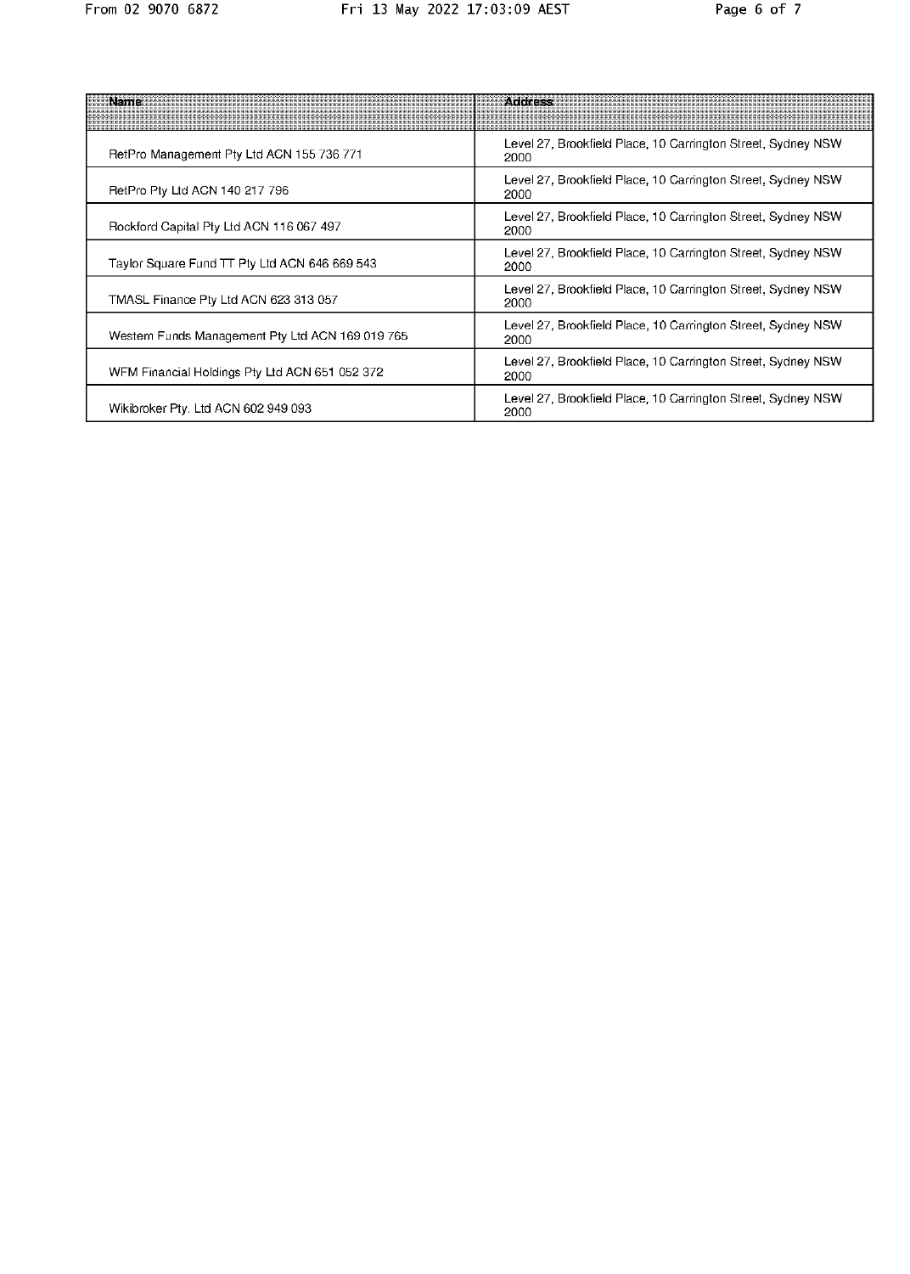| Namer                                            | <b>ACCICSS</b>                                                       |
|--------------------------------------------------|----------------------------------------------------------------------|
| RetPro Management Pty Ltd ACN 155 736 771        | Level 27, Brookfield Place, 10 Carrington Street, Sydney NSW<br>2000 |
| RetPro Pty Ltd ACN 140 217 796                   | Level 27, Brookfield Place, 10 Carrington Street, Sydney NSW<br>2000 |
| Rockford Capital Pty Ltd ACN 116 067 497         | Level 27, Brookfield Place, 10 Carrington Street, Sydney NSW<br>2000 |
| Taylor Square Fund TT Pty Ltd ACN 646 669 543    | Level 27, Brookfield Place, 10 Carrington Street, Sydney NSW<br>2000 |
| TMASL Finance Pty Ltd ACN 623 313 057            | Level 27, Brookfield Place, 10 Carrington Street, Sydney NSW<br>2000 |
| Western Funds Management Pty Ltd ACN 169 019 765 | Level 27, Brookfield Place, 10 Carrington Street, Sydney NSW<br>2000 |
| WFM Financial Holdings Pty Ltd ACN 651 052 372   | Level 27, Brookfield Place, 10 Carrington Street, Sydney NSW<br>2000 |
| Wikibroker Pty. Ltd ACN 602 949 093              | Level 27, Brookfield Place, 10 Carrington Street, Sydney NSW<br>2000 |